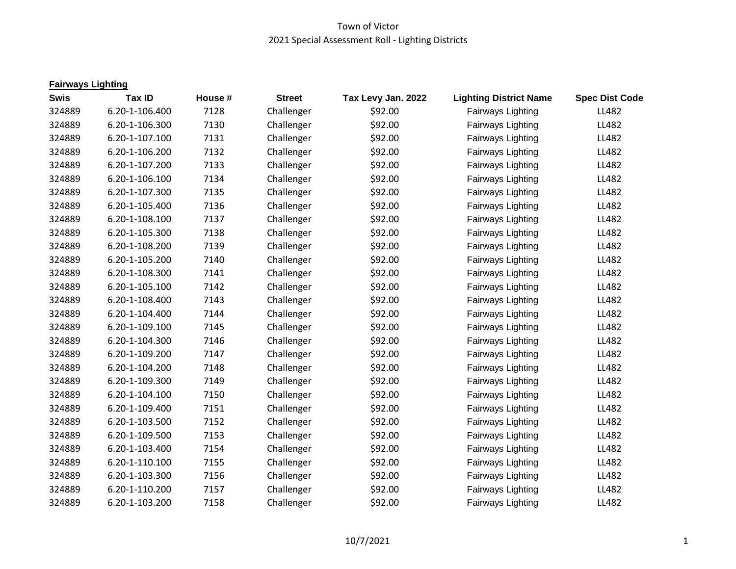| <b>Fairways Lighting</b> |                |         |               |                    |                               |                       |
|--------------------------|----------------|---------|---------------|--------------------|-------------------------------|-----------------------|
| <b>Swis</b>              | <b>Tax ID</b>  | House # | <b>Street</b> | Tax Levy Jan. 2022 | <b>Lighting District Name</b> | <b>Spec Dist Code</b> |
| 324889                   | 6.20-1-106.400 | 7128    | Challenger    | \$92.00            | Fairways Lighting             | LL482                 |
| 324889                   | 6.20-1-106.300 | 7130    | Challenger    | \$92.00            | Fairways Lighting             | LL482                 |
| 324889                   | 6.20-1-107.100 | 7131    | Challenger    | \$92.00            | Fairways Lighting             | LL482                 |
| 324889                   | 6.20-1-106.200 | 7132    | Challenger    | \$92.00            | Fairways Lighting             | LL482                 |
| 324889                   | 6.20-1-107.200 | 7133    | Challenger    | \$92.00            | Fairways Lighting             | LL482                 |
| 324889                   | 6.20-1-106.100 | 7134    | Challenger    | \$92.00            | Fairways Lighting             | LL482                 |
| 324889                   | 6.20-1-107.300 | 7135    | Challenger    | \$92.00            | Fairways Lighting             | LL482                 |
| 324889                   | 6.20-1-105.400 | 7136    | Challenger    | \$92.00            | Fairways Lighting             | LL482                 |
| 324889                   | 6.20-1-108.100 | 7137    | Challenger    | \$92.00            | Fairways Lighting             | LL482                 |
| 324889                   | 6.20-1-105.300 | 7138    | Challenger    | \$92.00            | Fairways Lighting             | LL482                 |
| 324889                   | 6.20-1-108.200 | 7139    | Challenger    | \$92.00            | Fairways Lighting             | LL482                 |
| 324889                   | 6.20-1-105.200 | 7140    | Challenger    | \$92.00            | Fairways Lighting             | LL482                 |
| 324889                   | 6.20-1-108.300 | 7141    | Challenger    | \$92.00            | Fairways Lighting             | LL482                 |
| 324889                   | 6.20-1-105.100 | 7142    | Challenger    | \$92.00            | Fairways Lighting             | LL482                 |
| 324889                   | 6.20-1-108.400 | 7143    | Challenger    | \$92.00            | Fairways Lighting             | LL482                 |
| 324889                   | 6.20-1-104.400 | 7144    | Challenger    | \$92.00            | Fairways Lighting             | LL482                 |
| 324889                   | 6.20-1-109.100 | 7145    | Challenger    | \$92.00            | Fairways Lighting             | LL482                 |
| 324889                   | 6.20-1-104.300 | 7146    | Challenger    | \$92.00            | Fairways Lighting             | LL482                 |
| 324889                   | 6.20-1-109.200 | 7147    | Challenger    | \$92.00            | Fairways Lighting             | LL482                 |
| 324889                   | 6.20-1-104.200 | 7148    | Challenger    | \$92.00            | Fairways Lighting             | LL482                 |
| 324889                   | 6.20-1-109.300 | 7149    | Challenger    | \$92.00            | Fairways Lighting             | LL482                 |
| 324889                   | 6.20-1-104.100 | 7150    | Challenger    | \$92.00            | Fairways Lighting             | LL482                 |
| 324889                   | 6.20-1-109.400 | 7151    | Challenger    | \$92.00            | Fairways Lighting             | LL482                 |
| 324889                   | 6.20-1-103.500 | 7152    | Challenger    | \$92.00            | Fairways Lighting             | LL482                 |
| 324889                   | 6.20-1-109.500 | 7153    | Challenger    | \$92.00            | Fairways Lighting             | LL482                 |
| 324889                   | 6.20-1-103.400 | 7154    | Challenger    | \$92.00            | Fairways Lighting             | LL482                 |
| 324889                   | 6.20-1-110.100 | 7155    | Challenger    | \$92.00            | Fairways Lighting             | LL482                 |
| 324889                   | 6.20-1-103.300 | 7156    | Challenger    | \$92.00            | Fairways Lighting             | LL482                 |
| 324889                   | 6.20-1-110.200 | 7157    | Challenger    | \$92.00            | Fairways Lighting             | LL482                 |
| 324889                   | 6.20-1-103.200 | 7158    | Challenger    | \$92.00            | Fairways Lighting             | LL482                 |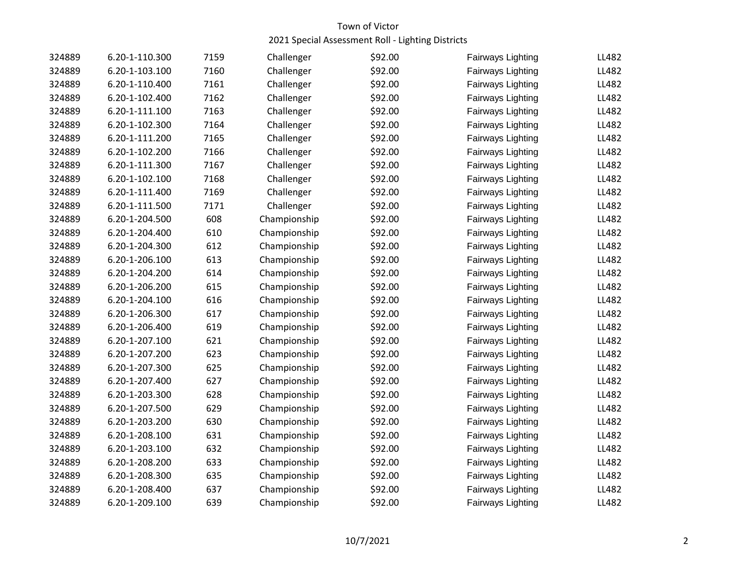| 324889 | 6.20-1-110.300 | 7159 | Challenger   | \$92.00 | Fairways Lighting | LL482 |
|--------|----------------|------|--------------|---------|-------------------|-------|
| 324889 | 6.20-1-103.100 | 7160 | Challenger   | \$92.00 | Fairways Lighting | LL482 |
| 324889 | 6.20-1-110.400 | 7161 | Challenger   | \$92.00 | Fairways Lighting | LL482 |
| 324889 | 6.20-1-102.400 | 7162 | Challenger   | \$92.00 | Fairways Lighting | LL482 |
| 324889 | 6.20-1-111.100 | 7163 | Challenger   | \$92.00 | Fairways Lighting | LL482 |
| 324889 | 6.20-1-102.300 | 7164 | Challenger   | \$92.00 | Fairways Lighting | LL482 |
| 324889 | 6.20-1-111.200 | 7165 | Challenger   | \$92.00 | Fairways Lighting | LL482 |
| 324889 | 6.20-1-102.200 | 7166 | Challenger   | \$92.00 | Fairways Lighting | LL482 |
| 324889 | 6.20-1-111.300 | 7167 | Challenger   | \$92.00 | Fairways Lighting | LL482 |
| 324889 | 6.20-1-102.100 | 7168 | Challenger   | \$92.00 | Fairways Lighting | LL482 |
| 324889 | 6.20-1-111.400 | 7169 | Challenger   | \$92.00 | Fairways Lighting | LL482 |
| 324889 | 6.20-1-111.500 | 7171 | Challenger   | \$92.00 | Fairways Lighting | LL482 |
| 324889 | 6.20-1-204.500 | 608  | Championship | \$92.00 | Fairways Lighting | LL482 |
| 324889 | 6.20-1-204.400 | 610  | Championship | \$92.00 | Fairways Lighting | LL482 |
| 324889 | 6.20-1-204.300 | 612  | Championship | \$92.00 | Fairways Lighting | LL482 |
| 324889 | 6.20-1-206.100 | 613  | Championship | \$92.00 | Fairways Lighting | LL482 |
| 324889 | 6.20-1-204.200 | 614  | Championship | \$92.00 | Fairways Lighting | LL482 |
| 324889 | 6.20-1-206.200 | 615  | Championship | \$92.00 | Fairways Lighting | LL482 |
| 324889 | 6.20-1-204.100 | 616  | Championship | \$92.00 | Fairways Lighting | LL482 |
| 324889 | 6.20-1-206.300 | 617  | Championship | \$92.00 | Fairways Lighting | LL482 |
| 324889 | 6.20-1-206.400 | 619  | Championship | \$92.00 | Fairways Lighting | LL482 |
| 324889 | 6.20-1-207.100 | 621  | Championship | \$92.00 | Fairways Lighting | LL482 |
| 324889 | 6.20-1-207.200 | 623  | Championship | \$92.00 | Fairways Lighting | LL482 |
| 324889 | 6.20-1-207.300 | 625  | Championship | \$92.00 | Fairways Lighting | LL482 |
| 324889 | 6.20-1-207.400 | 627  | Championship | \$92.00 | Fairways Lighting | LL482 |
| 324889 | 6.20-1-203.300 | 628  | Championship | \$92.00 | Fairways Lighting | LL482 |
| 324889 | 6.20-1-207.500 | 629  | Championship | \$92.00 | Fairways Lighting | LL482 |
| 324889 | 6.20-1-203.200 | 630  | Championship | \$92.00 | Fairways Lighting | LL482 |
| 324889 | 6.20-1-208.100 | 631  | Championship | \$92.00 | Fairways Lighting | LL482 |
| 324889 | 6.20-1-203.100 | 632  | Championship | \$92.00 | Fairways Lighting | LL482 |
| 324889 | 6.20-1-208.200 | 633  | Championship | \$92.00 | Fairways Lighting | LL482 |
| 324889 | 6.20-1-208.300 | 635  | Championship | \$92.00 | Fairways Lighting | LL482 |
| 324889 | 6.20-1-208.400 | 637  | Championship | \$92.00 | Fairways Lighting | LL482 |
| 324889 | 6.20-1-209.100 | 639  | Championship | \$92.00 | Fairways Lighting | LL482 |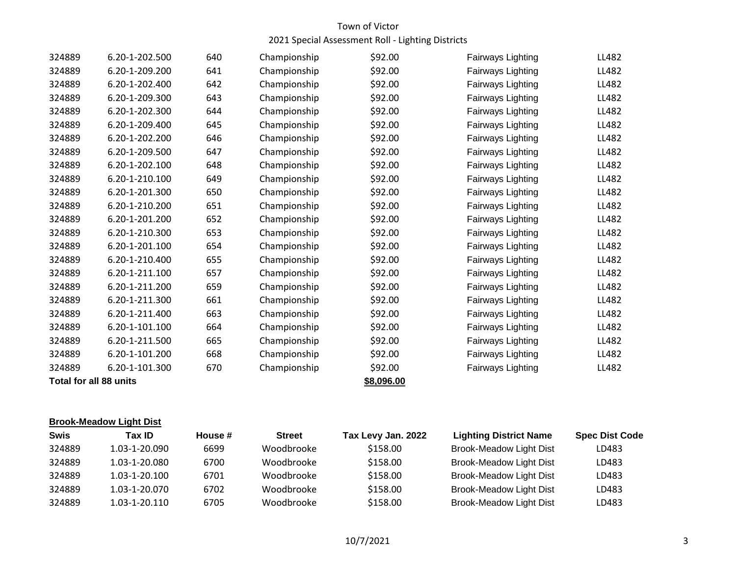| 324889 | 6.20-1-202.500         | 640 | Championship | \$92.00    | Fairways Lighting | LL482 |
|--------|------------------------|-----|--------------|------------|-------------------|-------|
| 324889 | 6.20-1-209.200         | 641 | Championship | \$92.00    | Fairways Lighting | LL482 |
| 324889 | 6.20-1-202.400         | 642 | Championship | \$92.00    | Fairways Lighting | LL482 |
| 324889 | 6.20-1-209.300         | 643 | Championship | \$92.00    | Fairways Lighting | LL482 |
| 324889 | 6.20-1-202.300         | 644 | Championship | \$92.00    | Fairways Lighting | LL482 |
| 324889 | 6.20-1-209.400         | 645 | Championship | \$92.00    | Fairways Lighting | LL482 |
| 324889 | 6.20-1-202.200         | 646 | Championship | \$92.00    | Fairways Lighting | LL482 |
| 324889 | 6.20-1-209.500         | 647 | Championship | \$92.00    | Fairways Lighting | LL482 |
| 324889 | 6.20-1-202.100         | 648 | Championship | \$92.00    | Fairways Lighting | LL482 |
| 324889 | 6.20-1-210.100         | 649 | Championship | \$92.00    | Fairways Lighting | LL482 |
| 324889 | 6.20-1-201.300         | 650 | Championship | \$92.00    | Fairways Lighting | LL482 |
| 324889 | 6.20-1-210.200         | 651 | Championship | \$92.00    | Fairways Lighting | LL482 |
| 324889 | 6.20-1-201.200         | 652 | Championship | \$92.00    | Fairways Lighting | LL482 |
| 324889 | 6.20-1-210.300         | 653 | Championship | \$92.00    | Fairways Lighting | LL482 |
| 324889 | 6.20-1-201.100         | 654 | Championship | \$92.00    | Fairways Lighting | LL482 |
| 324889 | 6.20-1-210.400         | 655 | Championship | \$92.00    | Fairways Lighting | LL482 |
| 324889 | 6.20-1-211.100         | 657 | Championship | \$92.00    | Fairways Lighting | LL482 |
| 324889 | 6.20-1-211.200         | 659 | Championship | \$92.00    | Fairways Lighting | LL482 |
| 324889 | 6.20-1-211.300         | 661 | Championship | \$92.00    | Fairways Lighting | LL482 |
| 324889 | 6.20-1-211.400         | 663 | Championship | \$92.00    | Fairways Lighting | LL482 |
| 324889 | 6.20-1-101.100         | 664 | Championship | \$92.00    | Fairways Lighting | LL482 |
| 324889 | 6.20-1-211.500         | 665 | Championship | \$92.00    | Fairways Lighting | LL482 |
| 324889 | 6.20-1-101.200         | 668 | Championship | \$92.00    | Fairways Lighting | LL482 |
| 324889 | 6.20-1-101.300         | 670 | Championship | \$92.00    | Fairways Lighting | LL482 |
|        | Total for all 88 units |     |              | \$8,096.00 |                   |       |

## **Brook-Meadow Light Dist**

| <b>Swis</b> | Tax ID        | House # | <b>Street</b> | Tax Levy Jan. 2022 | <b>Lighting District Name</b>  | <b>Spec Dist Code</b> |
|-------------|---------------|---------|---------------|--------------------|--------------------------------|-----------------------|
| 324889      | 1.03-1-20.090 | 6699    | Woodbrooke    | \$158.00           | <b>Brook-Meadow Light Dist</b> | LD483                 |
| 324889      | 1.03-1-20.080 | 6700    | Woodbrooke    | \$158.00           | <b>Brook-Meadow Light Dist</b> | LD483                 |
| 324889      | 1.03-1-20.100 | 6701    | Woodbrooke    | \$158.00           | <b>Brook-Meadow Light Dist</b> | LD483                 |
| 324889      | 1.03-1-20.070 | 6702    | Woodbrooke    | \$158.00           | <b>Brook-Meadow Light Dist</b> | LD483                 |
| 324889      | 1.03-1-20.110 | 6705    | Woodbrooke    | \$158.00           | <b>Brook-Meadow Light Dist</b> | LD483                 |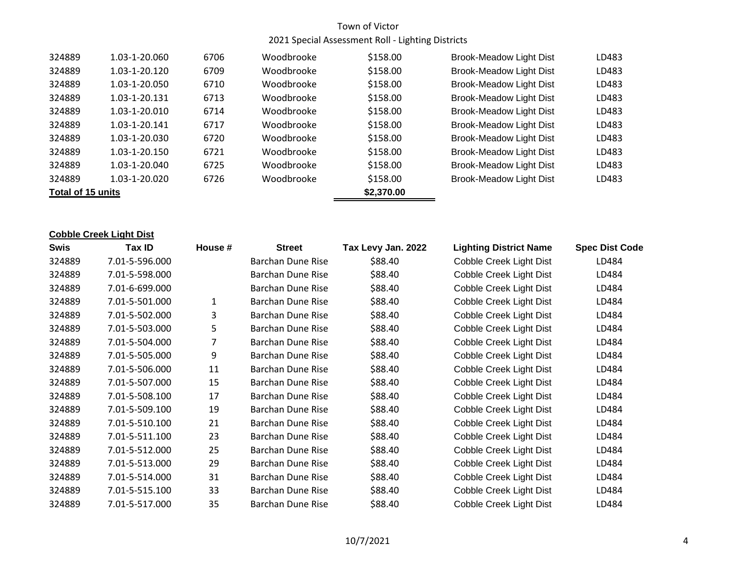| 324889            | 1.03-1-20.060 | 6706 | Woodbrooke | \$158.00 | <b>Brook-Meadow Light Dist</b> | LD483 |
|-------------------|---------------|------|------------|----------|--------------------------------|-------|
| 324889            | 1.03-1-20.120 | 6709 | Woodbrooke | \$158.00 | <b>Brook-Meadow Light Dist</b> | LD483 |
| 324889            | 1.03-1-20.050 | 6710 | Woodbrooke | \$158.00 | <b>Brook-Meadow Light Dist</b> | LD483 |
| 324889            | 1.03-1-20.131 | 6713 | Woodbrooke | \$158.00 | <b>Brook-Meadow Light Dist</b> | LD483 |
| 324889            | 1.03-1-20.010 | 6714 | Woodbrooke | \$158.00 | <b>Brook-Meadow Light Dist</b> | LD483 |
| 324889            | 1.03-1-20.141 | 6717 | Woodbrooke | \$158.00 | <b>Brook-Meadow Light Dist</b> | LD483 |
| 324889            | 1.03-1-20.030 | 6720 | Woodbrooke | \$158.00 | <b>Brook-Meadow Light Dist</b> | LD483 |
| 324889            | 1.03-1-20.150 | 6721 | Woodbrooke | \$158.00 | Brook-Meadow Light Dist        | LD483 |
| 324889            | 1.03-1-20.040 | 6725 | Woodbrooke | \$158.00 | Brook-Meadow Light Dist        | LD483 |
| 324889            | 1.03-1-20.020 | 6726 | Woodbrooke | \$158.00 | <b>Brook-Meadow Light Dist</b> | LD483 |
| Total of 15 units |               |      | \$2,370.00 |          |                                |       |

#### **Cobble Creek Light Dist**

| <b>Swis</b> | Tax ID         | House #      | <b>Street</b>            | Tax Levy Jan. 2022 | <b>Lighting District Name</b> | <b>Spec Dist Code</b> |
|-------------|----------------|--------------|--------------------------|--------------------|-------------------------------|-----------------------|
| 324889      | 7.01-5-596.000 |              | Barchan Dune Rise        | \$88.40            | Cobble Creek Light Dist       | LD484                 |
| 324889      | 7.01-5-598.000 |              | <b>Barchan Dune Rise</b> | \$88.40            | Cobble Creek Light Dist       | LD484                 |
| 324889      | 7.01-6-699.000 |              | Barchan Dune Rise        | \$88.40            | Cobble Creek Light Dist       | LD484                 |
| 324889      | 7.01-5-501.000 | $\mathbf{1}$ | Barchan Dune Rise        | \$88.40            | Cobble Creek Light Dist       | LD484                 |
| 324889      | 7.01-5-502.000 | 3.           | Barchan Dune Rise        | \$88.40            | Cobble Creek Light Dist       | LD484                 |
| 324889      | 7.01-5-503.000 | 5.           | <b>Barchan Dune Rise</b> | \$88.40            | Cobble Creek Light Dist       | LD484                 |
| 324889      | 7.01-5-504.000 |              | Barchan Dune Rise        | \$88.40            | Cobble Creek Light Dist       | LD484                 |
| 324889      | 7.01-5-505.000 | 9            | Barchan Dune Rise        | \$88.40            | Cobble Creek Light Dist       | LD484                 |
| 324889      | 7.01-5-506.000 | 11           | Barchan Dune Rise        | \$88.40            | Cobble Creek Light Dist       | LD484                 |
| 324889      | 7.01-5-507.000 | 15           | Barchan Dune Rise        | \$88.40            | Cobble Creek Light Dist       | LD484                 |
| 324889      | 7.01-5-508.100 | 17           | Barchan Dune Rise        | \$88.40            | Cobble Creek Light Dist       | LD484                 |
| 324889      | 7.01-5-509.100 | 19           | Barchan Dune Rise        | \$88.40            | Cobble Creek Light Dist       | LD484                 |
| 324889      | 7.01-5-510.100 | 21           | Barchan Dune Rise        | \$88.40            | Cobble Creek Light Dist       | LD484                 |
| 324889      | 7.01-5-511.100 | 23           | Barchan Dune Rise        | \$88.40            | Cobble Creek Light Dist       | LD484                 |
| 324889      | 7.01-5-512.000 | 25           | Barchan Dune Rise        | \$88.40            | Cobble Creek Light Dist       | LD484                 |
| 324889      | 7.01-5-513.000 | 29           | Barchan Dune Rise        | \$88.40            | Cobble Creek Light Dist       | LD484                 |
| 324889      | 7.01-5-514.000 | 31           | Barchan Dune Rise        | \$88.40            | Cobble Creek Light Dist       | LD484                 |
| 324889      | 7.01-5-515.100 | 33           | Barchan Dune Rise        | \$88.40            | Cobble Creek Light Dist       | LD484                 |
| 324889      | 7.01-5-517.000 | 35           | Barchan Dune Rise        | \$88.40            | Cobble Creek Light Dist       | LD484                 |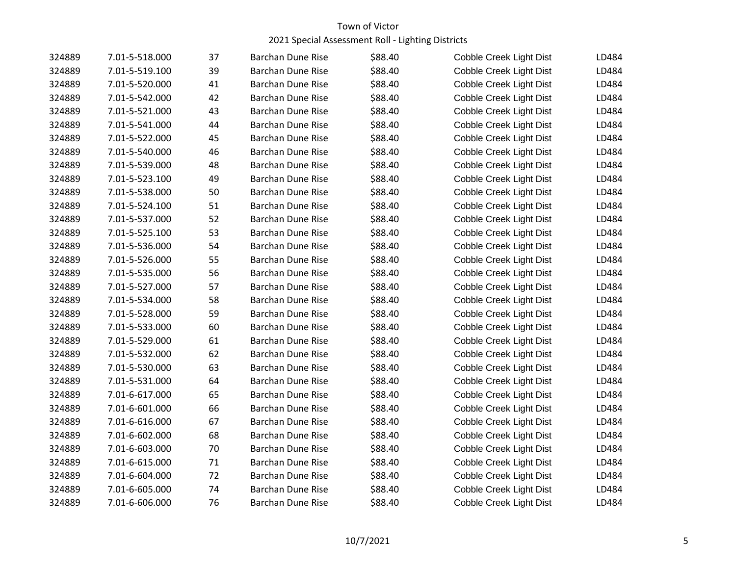| 324889 | 7.01-5-518.000 | 37 | <b>Barchan Dune Rise</b> | \$88.40 | Cobble Creek Light Dist        | LD484 |
|--------|----------------|----|--------------------------|---------|--------------------------------|-------|
| 324889 | 7.01-5-519.100 | 39 | <b>Barchan Dune Rise</b> | \$88.40 | Cobble Creek Light Dist        | LD484 |
| 324889 | 7.01-5-520.000 | 41 | <b>Barchan Dune Rise</b> | \$88.40 | Cobble Creek Light Dist        | LD484 |
| 324889 | 7.01-5-542.000 | 42 | <b>Barchan Dune Rise</b> | \$88.40 | <b>Cobble Creek Light Dist</b> | LD484 |
| 324889 | 7.01-5-521.000 | 43 | Barchan Dune Rise        | \$88.40 | Cobble Creek Light Dist        | LD484 |
| 324889 | 7.01-5-541.000 | 44 | <b>Barchan Dune Rise</b> | \$88.40 | Cobble Creek Light Dist        | LD484 |
| 324889 | 7.01-5-522.000 | 45 | <b>Barchan Dune Rise</b> | \$88.40 | Cobble Creek Light Dist        | LD484 |
| 324889 | 7.01-5-540.000 | 46 | Barchan Dune Rise        | \$88.40 | Cobble Creek Light Dist        | LD484 |
| 324889 | 7.01-5-539.000 | 48 | <b>Barchan Dune Rise</b> | \$88.40 | Cobble Creek Light Dist        | LD484 |
| 324889 | 7.01-5-523.100 | 49 | <b>Barchan Dune Rise</b> | \$88.40 | Cobble Creek Light Dist        | LD484 |
| 324889 | 7.01-5-538.000 | 50 | <b>Barchan Dune Rise</b> | \$88.40 | Cobble Creek Light Dist        | LD484 |
| 324889 | 7.01-5-524.100 | 51 | <b>Barchan Dune Rise</b> | \$88.40 | Cobble Creek Light Dist        | LD484 |
| 324889 | 7.01-5-537.000 | 52 | Barchan Dune Rise        | \$88.40 | Cobble Creek Light Dist        | LD484 |
| 324889 | 7.01-5-525.100 | 53 | <b>Barchan Dune Rise</b> | \$88.40 | Cobble Creek Light Dist        | LD484 |
| 324889 | 7.01-5-536.000 | 54 | <b>Barchan Dune Rise</b> | \$88.40 | Cobble Creek Light Dist        | LD484 |
| 324889 | 7.01-5-526.000 | 55 | <b>Barchan Dune Rise</b> | \$88.40 | Cobble Creek Light Dist        | LD484 |
| 324889 | 7.01-5-535.000 | 56 | <b>Barchan Dune Rise</b> | \$88.40 | Cobble Creek Light Dist        | LD484 |
| 324889 | 7.01-5-527.000 | 57 | <b>Barchan Dune Rise</b> | \$88.40 | Cobble Creek Light Dist        | LD484 |
| 324889 | 7.01-5-534.000 | 58 | <b>Barchan Dune Rise</b> | \$88.40 | Cobble Creek Light Dist        | LD484 |
| 324889 | 7.01-5-528.000 | 59 | <b>Barchan Dune Rise</b> | \$88.40 | Cobble Creek Light Dist        | LD484 |
| 324889 | 7.01-5-533.000 | 60 | <b>Barchan Dune Rise</b> | \$88.40 | Cobble Creek Light Dist        | LD484 |
| 324889 | 7.01-5-529.000 | 61 | <b>Barchan Dune Rise</b> | \$88.40 | Cobble Creek Light Dist        | LD484 |
| 324889 | 7.01-5-532.000 | 62 | <b>Barchan Dune Rise</b> | \$88.40 | Cobble Creek Light Dist        | LD484 |
| 324889 | 7.01-5-530.000 | 63 | <b>Barchan Dune Rise</b> | \$88.40 | Cobble Creek Light Dist        | LD484 |
| 324889 | 7.01-5-531.000 | 64 | <b>Barchan Dune Rise</b> | \$88.40 | Cobble Creek Light Dist        | LD484 |
| 324889 | 7.01-6-617.000 | 65 | <b>Barchan Dune Rise</b> | \$88.40 | Cobble Creek Light Dist        | LD484 |
| 324889 | 7.01-6-601.000 | 66 | Barchan Dune Rise        | \$88.40 | Cobble Creek Light Dist        | LD484 |
| 324889 | 7.01-6-616.000 | 67 | <b>Barchan Dune Rise</b> | \$88.40 | Cobble Creek Light Dist        | LD484 |
| 324889 | 7.01-6-602.000 | 68 | <b>Barchan Dune Rise</b> | \$88.40 | Cobble Creek Light Dist        | LD484 |
| 324889 | 7.01-6-603.000 | 70 | <b>Barchan Dune Rise</b> | \$88.40 | Cobble Creek Light Dist        | LD484 |
| 324889 | 7.01-6-615.000 | 71 | <b>Barchan Dune Rise</b> | \$88.40 | Cobble Creek Light Dist        | LD484 |
| 324889 | 7.01-6-604.000 | 72 | <b>Barchan Dune Rise</b> | \$88.40 | Cobble Creek Light Dist        | LD484 |
| 324889 | 7.01-6-605.000 | 74 | <b>Barchan Dune Rise</b> | \$88.40 | Cobble Creek Light Dist        | LD484 |
| 324889 | 7.01-6-606.000 | 76 | <b>Barchan Dune Rise</b> | \$88.40 | Cobble Creek Light Dist        | LD484 |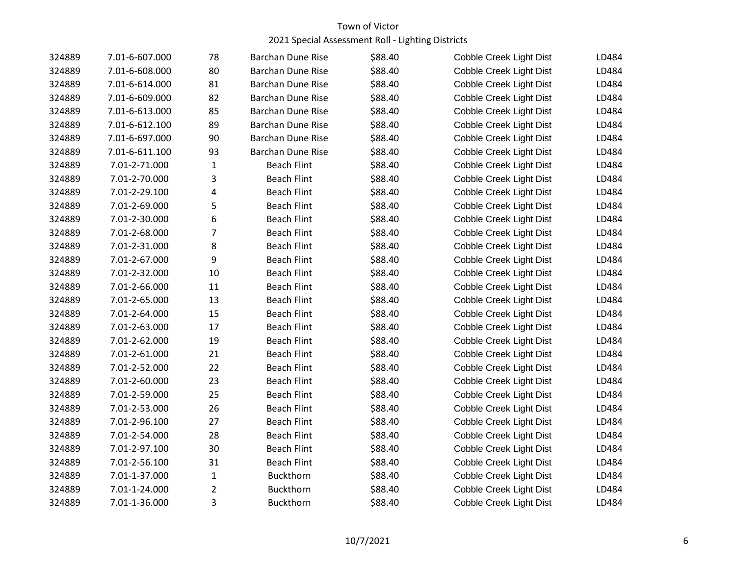| 324889 | 7.01-6-607.000 | 78             | <b>Barchan Dune Rise</b> | \$88.40 | Cobble Creek Light Dist | LD484 |
|--------|----------------|----------------|--------------------------|---------|-------------------------|-------|
| 324889 | 7.01-6-608.000 | 80             | <b>Barchan Dune Rise</b> | \$88.40 | Cobble Creek Light Dist | LD484 |
| 324889 | 7.01-6-614.000 | 81             | <b>Barchan Dune Rise</b> | \$88.40 | Cobble Creek Light Dist | LD484 |
| 324889 | 7.01-6-609.000 | 82             | <b>Barchan Dune Rise</b> | \$88.40 | Cobble Creek Light Dist | LD484 |
| 324889 | 7.01-6-613.000 | 85             | <b>Barchan Dune Rise</b> | \$88.40 | Cobble Creek Light Dist | LD484 |
| 324889 | 7.01-6-612.100 | 89             | <b>Barchan Dune Rise</b> | \$88.40 | Cobble Creek Light Dist | LD484 |
| 324889 | 7.01-6-697.000 | 90             | <b>Barchan Dune Rise</b> | \$88.40 | Cobble Creek Light Dist | LD484 |
| 324889 | 7.01-6-611.100 | 93             | <b>Barchan Dune Rise</b> | \$88.40 | Cobble Creek Light Dist | LD484 |
| 324889 | 7.01-2-71.000  | $\mathbf{1}$   | <b>Beach Flint</b>       | \$88.40 | Cobble Creek Light Dist | LD484 |
| 324889 | 7.01-2-70.000  | 3              | <b>Beach Flint</b>       | \$88.40 | Cobble Creek Light Dist | LD484 |
| 324889 | 7.01-2-29.100  | 4              | <b>Beach Flint</b>       | \$88.40 | Cobble Creek Light Dist | LD484 |
| 324889 | 7.01-2-69.000  | 5              | <b>Beach Flint</b>       | \$88.40 | Cobble Creek Light Dist | LD484 |
| 324889 | 7.01-2-30.000  | 6              | <b>Beach Flint</b>       | \$88.40 | Cobble Creek Light Dist | LD484 |
| 324889 | 7.01-2-68.000  | $\overline{7}$ | <b>Beach Flint</b>       | \$88.40 | Cobble Creek Light Dist | LD484 |
| 324889 | 7.01-2-31.000  | 8              | <b>Beach Flint</b>       | \$88.40 | Cobble Creek Light Dist | LD484 |
| 324889 | 7.01-2-67.000  | 9              | <b>Beach Flint</b>       | \$88.40 | Cobble Creek Light Dist | LD484 |
| 324889 | 7.01-2-32.000  | 10             | <b>Beach Flint</b>       | \$88.40 | Cobble Creek Light Dist | LD484 |
| 324889 | 7.01-2-66.000  | 11             | <b>Beach Flint</b>       | \$88.40 | Cobble Creek Light Dist | LD484 |
| 324889 | 7.01-2-65.000  | 13             | <b>Beach Flint</b>       | \$88.40 | Cobble Creek Light Dist | LD484 |
| 324889 | 7.01-2-64.000  | 15             | <b>Beach Flint</b>       | \$88.40 | Cobble Creek Light Dist | LD484 |
| 324889 | 7.01-2-63.000  | 17             | <b>Beach Flint</b>       | \$88.40 | Cobble Creek Light Dist | LD484 |
| 324889 | 7.01-2-62.000  | 19             | <b>Beach Flint</b>       | \$88.40 | Cobble Creek Light Dist | LD484 |
| 324889 | 7.01-2-61.000  | 21             | <b>Beach Flint</b>       | \$88.40 | Cobble Creek Light Dist | LD484 |
| 324889 | 7.01-2-52.000  | 22             | <b>Beach Flint</b>       | \$88.40 | Cobble Creek Light Dist | LD484 |
| 324889 | 7.01-2-60.000  | 23             | <b>Beach Flint</b>       | \$88.40 | Cobble Creek Light Dist | LD484 |
| 324889 | 7.01-2-59.000  | 25             | <b>Beach Flint</b>       | \$88.40 | Cobble Creek Light Dist | LD484 |
| 324889 | 7.01-2-53.000  | 26             | <b>Beach Flint</b>       | \$88.40 | Cobble Creek Light Dist | LD484 |
| 324889 | 7.01-2-96.100  | 27             | <b>Beach Flint</b>       | \$88.40 | Cobble Creek Light Dist | LD484 |
| 324889 | 7.01-2-54.000  | 28             | <b>Beach Flint</b>       | \$88.40 | Cobble Creek Light Dist | LD484 |
| 324889 | 7.01-2-97.100  | 30             | <b>Beach Flint</b>       | \$88.40 | Cobble Creek Light Dist | LD484 |
| 324889 | 7.01-2-56.100  | 31             | <b>Beach Flint</b>       | \$88.40 | Cobble Creek Light Dist | LD484 |
| 324889 | 7.01-1-37.000  | 1              | <b>Buckthorn</b>         | \$88.40 | Cobble Creek Light Dist | LD484 |
| 324889 | 7.01-1-24.000  | $\overline{2}$ | <b>Buckthorn</b>         | \$88.40 | Cobble Creek Light Dist | LD484 |
| 324889 | 7.01-1-36.000  | 3              | <b>Buckthorn</b>         | \$88.40 | Cobble Creek Light Dist | LD484 |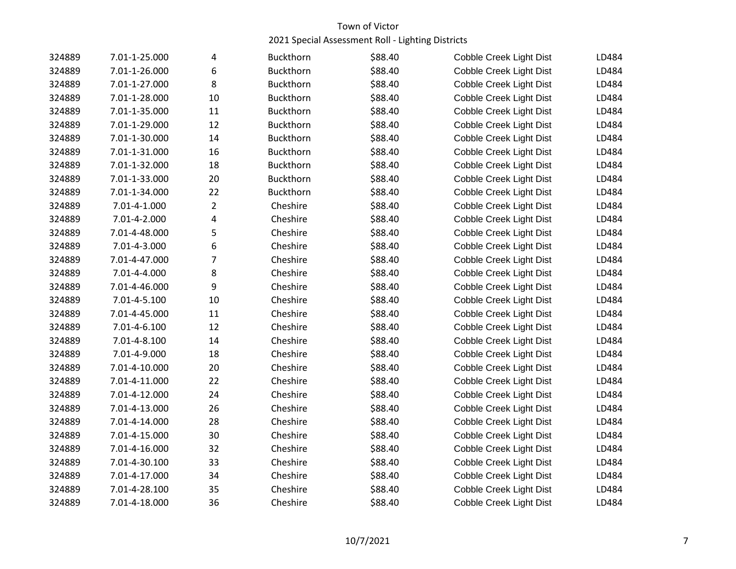| 324889 | 7.01-1-25.000 | 4              | <b>Buckthorn</b> | \$88.40 | Cobble Creek Light Dist | LD484 |
|--------|---------------|----------------|------------------|---------|-------------------------|-------|
| 324889 | 7.01-1-26.000 | 6              | Buckthorn        | \$88.40 | Cobble Creek Light Dist | LD484 |
| 324889 | 7.01-1-27.000 | 8              | <b>Buckthorn</b> | \$88.40 | Cobble Creek Light Dist | LD484 |
| 324889 | 7.01-1-28.000 | 10             | <b>Buckthorn</b> | \$88.40 | Cobble Creek Light Dist | LD484 |
| 324889 | 7.01-1-35.000 | 11             | <b>Buckthorn</b> | \$88.40 | Cobble Creek Light Dist | LD484 |
| 324889 | 7.01-1-29.000 | 12             | <b>Buckthorn</b> | \$88.40 | Cobble Creek Light Dist | LD484 |
| 324889 | 7.01-1-30.000 | 14             | Buckthorn        | \$88.40 | Cobble Creek Light Dist | LD484 |
| 324889 | 7.01-1-31.000 | 16             | Buckthorn        | \$88.40 | Cobble Creek Light Dist | LD484 |
| 324889 | 7.01-1-32.000 | 18             | Buckthorn        | \$88.40 | Cobble Creek Light Dist | LD484 |
| 324889 | 7.01-1-33.000 | 20             | <b>Buckthorn</b> | \$88.40 | Cobble Creek Light Dist | LD484 |
| 324889 | 7.01-1-34.000 | 22             | Buckthorn        | \$88.40 | Cobble Creek Light Dist | LD484 |
| 324889 | 7.01-4-1.000  | $\overline{2}$ | Cheshire         | \$88.40 | Cobble Creek Light Dist | LD484 |
| 324889 | 7.01-4-2.000  | 4              | Cheshire         | \$88.40 | Cobble Creek Light Dist | LD484 |
| 324889 | 7.01-4-48.000 | 5              | Cheshire         | \$88.40 | Cobble Creek Light Dist | LD484 |
| 324889 | 7.01-4-3.000  | 6              | Cheshire         | \$88.40 | Cobble Creek Light Dist | LD484 |
| 324889 | 7.01-4-47.000 | 7              | Cheshire         | \$88.40 | Cobble Creek Light Dist | LD484 |
| 324889 | 7.01-4-4.000  | 8              | Cheshire         | \$88.40 | Cobble Creek Light Dist | LD484 |
| 324889 | 7.01-4-46.000 | 9              | Cheshire         | \$88.40 | Cobble Creek Light Dist | LD484 |
| 324889 | 7.01-4-5.100  | 10             | Cheshire         | \$88.40 | Cobble Creek Light Dist | LD484 |
| 324889 | 7.01-4-45.000 | 11             | Cheshire         | \$88.40 | Cobble Creek Light Dist | LD484 |
| 324889 | 7.01-4-6.100  | 12             | Cheshire         | \$88.40 | Cobble Creek Light Dist | LD484 |
| 324889 | 7.01-4-8.100  | 14             | Cheshire         | \$88.40 | Cobble Creek Light Dist | LD484 |
| 324889 | 7.01-4-9.000  | 18             | Cheshire         | \$88.40 | Cobble Creek Light Dist | LD484 |
| 324889 | 7.01-4-10.000 | 20             | Cheshire         | \$88.40 | Cobble Creek Light Dist | LD484 |
| 324889 | 7.01-4-11.000 | 22             | Cheshire         | \$88.40 | Cobble Creek Light Dist | LD484 |
| 324889 | 7.01-4-12.000 | 24             | Cheshire         | \$88.40 | Cobble Creek Light Dist | LD484 |
| 324889 | 7.01-4-13.000 | 26             | Cheshire         | \$88.40 | Cobble Creek Light Dist | LD484 |
| 324889 | 7.01-4-14.000 | 28             | Cheshire         | \$88.40 | Cobble Creek Light Dist | LD484 |
| 324889 | 7.01-4-15.000 | 30             | Cheshire         | \$88.40 | Cobble Creek Light Dist | LD484 |
| 324889 | 7.01-4-16.000 | 32             | Cheshire         | \$88.40 | Cobble Creek Light Dist | LD484 |
| 324889 | 7.01-4-30.100 | 33             | Cheshire         | \$88.40 | Cobble Creek Light Dist | LD484 |
| 324889 | 7.01-4-17.000 | 34             | Cheshire         | \$88.40 | Cobble Creek Light Dist | LD484 |
| 324889 | 7.01-4-28.100 | 35             | Cheshire         | \$88.40 | Cobble Creek Light Dist | LD484 |
| 324889 | 7.01-4-18.000 | 36             | Cheshire         | \$88.40 | Cobble Creek Light Dist | LD484 |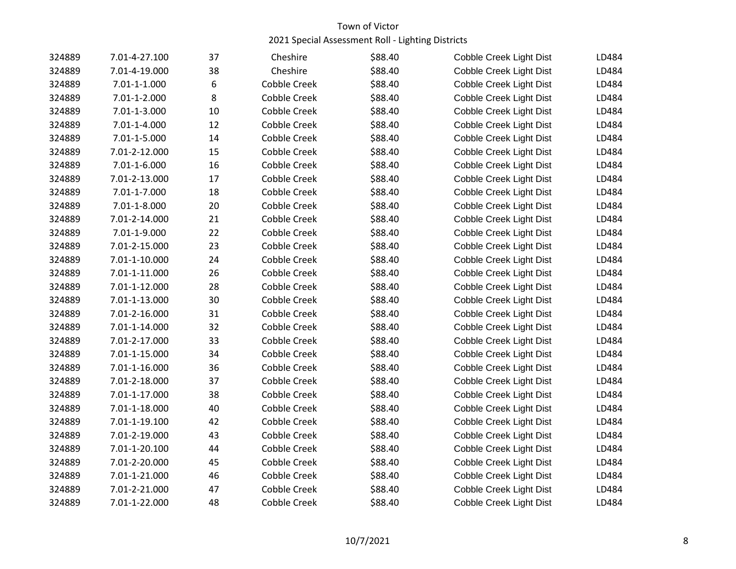| 324889 | 7.01-4-27.100 | 37 | Cheshire            | \$88.40 | Cobble Creek Light Dist | LD484 |
|--------|---------------|----|---------------------|---------|-------------------------|-------|
| 324889 | 7.01-4-19.000 | 38 | Cheshire            | \$88.40 | Cobble Creek Light Dist | LD484 |
| 324889 | 7.01-1-1.000  | 6  | <b>Cobble Creek</b> | \$88.40 | Cobble Creek Light Dist | LD484 |
| 324889 | 7.01-1-2.000  | 8  | <b>Cobble Creek</b> | \$88.40 | Cobble Creek Light Dist | LD484 |
| 324889 | 7.01-1-3.000  | 10 | <b>Cobble Creek</b> | \$88.40 | Cobble Creek Light Dist | LD484 |
| 324889 | 7.01-1-4.000  | 12 | <b>Cobble Creek</b> | \$88.40 | Cobble Creek Light Dist | LD484 |
| 324889 | 7.01-1-5.000  | 14 | <b>Cobble Creek</b> | \$88.40 | Cobble Creek Light Dist | LD484 |
| 324889 | 7.01-2-12.000 | 15 | Cobble Creek        | \$88.40 | Cobble Creek Light Dist | LD484 |
| 324889 | 7.01-1-6.000  | 16 | <b>Cobble Creek</b> | \$88.40 | Cobble Creek Light Dist | LD484 |
| 324889 | 7.01-2-13.000 | 17 | <b>Cobble Creek</b> | \$88.40 | Cobble Creek Light Dist | LD484 |
| 324889 | 7.01-1-7.000  | 18 | <b>Cobble Creek</b> | \$88.40 | Cobble Creek Light Dist | LD484 |
| 324889 | 7.01-1-8.000  | 20 | <b>Cobble Creek</b> | \$88.40 | Cobble Creek Light Dist | LD484 |
| 324889 | 7.01-2-14.000 | 21 | <b>Cobble Creek</b> | \$88.40 | Cobble Creek Light Dist | LD484 |
| 324889 | 7.01-1-9.000  | 22 | <b>Cobble Creek</b> | \$88.40 | Cobble Creek Light Dist | LD484 |
| 324889 | 7.01-2-15.000 | 23 | Cobble Creek        | \$88.40 | Cobble Creek Light Dist | LD484 |
| 324889 | 7.01-1-10.000 | 24 | <b>Cobble Creek</b> | \$88.40 | Cobble Creek Light Dist | LD484 |
| 324889 | 7.01-1-11.000 | 26 | <b>Cobble Creek</b> | \$88.40 | Cobble Creek Light Dist | LD484 |
| 324889 | 7.01-1-12.000 | 28 | <b>Cobble Creek</b> | \$88.40 | Cobble Creek Light Dist | LD484 |
| 324889 | 7.01-1-13.000 | 30 | <b>Cobble Creek</b> | \$88.40 | Cobble Creek Light Dist | LD484 |
| 324889 | 7.01-2-16.000 | 31 | <b>Cobble Creek</b> | \$88.40 | Cobble Creek Light Dist | LD484 |
| 324889 | 7.01-1-14.000 | 32 | <b>Cobble Creek</b> | \$88.40 | Cobble Creek Light Dist | LD484 |
| 324889 | 7.01-2-17.000 | 33 | <b>Cobble Creek</b> | \$88.40 | Cobble Creek Light Dist | LD484 |
| 324889 | 7.01-1-15.000 | 34 | <b>Cobble Creek</b> | \$88.40 | Cobble Creek Light Dist | LD484 |
| 324889 | 7.01-1-16.000 | 36 | Cobble Creek        | \$88.40 | Cobble Creek Light Dist | LD484 |
| 324889 | 7.01-2-18.000 | 37 | <b>Cobble Creek</b> | \$88.40 | Cobble Creek Light Dist | LD484 |
| 324889 | 7.01-1-17.000 | 38 | <b>Cobble Creek</b> | \$88.40 | Cobble Creek Light Dist | LD484 |
| 324889 | 7.01-1-18.000 | 40 | <b>Cobble Creek</b> | \$88.40 | Cobble Creek Light Dist | LD484 |
| 324889 | 7.01-1-19.100 | 42 | <b>Cobble Creek</b> | \$88.40 | Cobble Creek Light Dist | LD484 |
| 324889 | 7.01-2-19.000 | 43 | <b>Cobble Creek</b> | \$88.40 | Cobble Creek Light Dist | LD484 |
| 324889 | 7.01-1-20.100 | 44 | <b>Cobble Creek</b> | \$88.40 | Cobble Creek Light Dist | LD484 |
| 324889 | 7.01-2-20.000 | 45 | <b>Cobble Creek</b> | \$88.40 | Cobble Creek Light Dist | LD484 |
| 324889 | 7.01-1-21.000 | 46 | <b>Cobble Creek</b> | \$88.40 | Cobble Creek Light Dist | LD484 |
| 324889 | 7.01-2-21.000 | 47 | <b>Cobble Creek</b> | \$88.40 | Cobble Creek Light Dist | LD484 |
| 324889 | 7.01-1-22.000 | 48 | <b>Cobble Creek</b> | \$88.40 | Cobble Creek Light Dist | LD484 |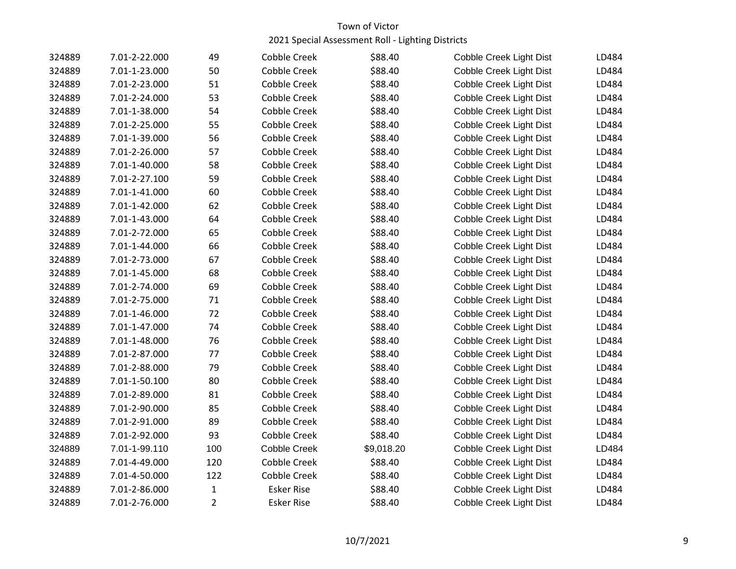| 324889 | 7.01-2-22.000 | 49             | Cobble Creek        | \$88.40    | Cobble Creek Light Dist | LD484 |
|--------|---------------|----------------|---------------------|------------|-------------------------|-------|
| 324889 | 7.01-1-23.000 | 50             | Cobble Creek        | \$88.40    | Cobble Creek Light Dist | LD484 |
| 324889 | 7.01-2-23.000 | 51             | <b>Cobble Creek</b> | \$88.40    | Cobble Creek Light Dist | LD484 |
| 324889 | 7.01-2-24.000 | 53             | Cobble Creek        | \$88.40    | Cobble Creek Light Dist | LD484 |
| 324889 | 7.01-1-38.000 | 54             | Cobble Creek        | \$88.40    | Cobble Creek Light Dist | LD484 |
| 324889 | 7.01-2-25.000 | 55             | <b>Cobble Creek</b> | \$88.40    | Cobble Creek Light Dist | LD484 |
| 324889 | 7.01-1-39.000 | 56             | Cobble Creek        | \$88.40    | Cobble Creek Light Dist | LD484 |
| 324889 | 7.01-2-26.000 | 57             | Cobble Creek        | \$88.40    | Cobble Creek Light Dist | LD484 |
| 324889 | 7.01-1-40.000 | 58             | Cobble Creek        | \$88.40    | Cobble Creek Light Dist | LD484 |
| 324889 | 7.01-2-27.100 | 59             | Cobble Creek        | \$88.40    | Cobble Creek Light Dist | LD484 |
| 324889 | 7.01-1-41.000 | 60             | <b>Cobble Creek</b> | \$88.40    | Cobble Creek Light Dist | LD484 |
| 324889 | 7.01-1-42.000 | 62             | Cobble Creek        | \$88.40    | Cobble Creek Light Dist | LD484 |
| 324889 | 7.01-1-43.000 | 64             | Cobble Creek        | \$88.40    | Cobble Creek Light Dist | LD484 |
| 324889 | 7.01-2-72.000 | 65             | Cobble Creek        | \$88.40    | Cobble Creek Light Dist | LD484 |
| 324889 | 7.01-1-44.000 | 66             | Cobble Creek        | \$88.40    | Cobble Creek Light Dist | LD484 |
| 324889 | 7.01-2-73.000 | 67             | Cobble Creek        | \$88.40    | Cobble Creek Light Dist | LD484 |
| 324889 | 7.01-1-45.000 | 68             | Cobble Creek        | \$88.40    | Cobble Creek Light Dist | LD484 |
| 324889 | 7.01-2-74.000 | 69             | <b>Cobble Creek</b> | \$88.40    | Cobble Creek Light Dist | LD484 |
| 324889 | 7.01-2-75.000 | 71             | Cobble Creek        | \$88.40    | Cobble Creek Light Dist | LD484 |
| 324889 | 7.01-1-46.000 | 72             | Cobble Creek        | \$88.40    | Cobble Creek Light Dist | LD484 |
| 324889 | 7.01-1-47.000 | 74             | Cobble Creek        | \$88.40    | Cobble Creek Light Dist | LD484 |
| 324889 | 7.01-1-48.000 | 76             | Cobble Creek        | \$88.40    | Cobble Creek Light Dist | LD484 |
| 324889 | 7.01-2-87.000 | 77             | <b>Cobble Creek</b> | \$88.40    | Cobble Creek Light Dist | LD484 |
| 324889 | 7.01-2-88.000 | 79             | Cobble Creek        | \$88.40    | Cobble Creek Light Dist | LD484 |
| 324889 | 7.01-1-50.100 | 80             | Cobble Creek        | \$88.40    | Cobble Creek Light Dist | LD484 |
| 324889 | 7.01-2-89.000 | 81             | Cobble Creek        | \$88.40    | Cobble Creek Light Dist | LD484 |
| 324889 | 7.01-2-90.000 | 85             | Cobble Creek        | \$88.40    | Cobble Creek Light Dist | LD484 |
| 324889 | 7.01-2-91.000 | 89             | Cobble Creek        | \$88.40    | Cobble Creek Light Dist | LD484 |
| 324889 | 7.01-2-92.000 | 93             | Cobble Creek        | \$88.40    | Cobble Creek Light Dist | LD484 |
| 324889 | 7.01-1-99.110 | 100            | <b>Cobble Creek</b> | \$9,018.20 | Cobble Creek Light Dist | LD484 |
| 324889 | 7.01-4-49.000 | 120            | Cobble Creek        | \$88.40    | Cobble Creek Light Dist | LD484 |
| 324889 | 7.01-4-50.000 | 122            | <b>Cobble Creek</b> | \$88.40    | Cobble Creek Light Dist | LD484 |
| 324889 | 7.01-2-86.000 | $\mathbf{1}$   | <b>Esker Rise</b>   | \$88.40    | Cobble Creek Light Dist | LD484 |
| 324889 | 7.01-2-76.000 | $\overline{2}$ | <b>Esker Rise</b>   | \$88.40    | Cobble Creek Light Dist | LD484 |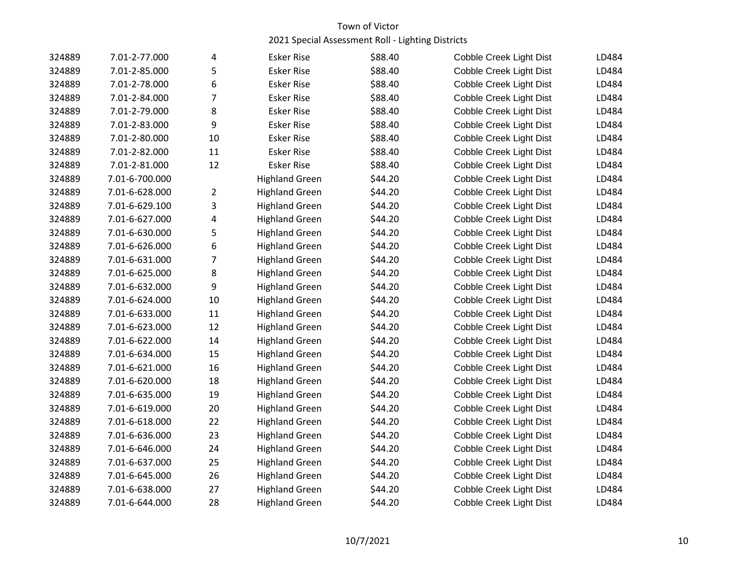| 324889 | 7.01-2-77.000  | 4              | <b>Esker Rise</b>     | \$88.40 | Cobble Creek Light Dist | LD484 |
|--------|----------------|----------------|-----------------------|---------|-------------------------|-------|
| 324889 | 7.01-2-85.000  | 5              | <b>Esker Rise</b>     | \$88.40 | Cobble Creek Light Dist | LD484 |
| 324889 | 7.01-2-78.000  | 6              | <b>Esker Rise</b>     | \$88.40 | Cobble Creek Light Dist | LD484 |
| 324889 | 7.01-2-84.000  | 7              | <b>Esker Rise</b>     | \$88.40 | Cobble Creek Light Dist | LD484 |
| 324889 | 7.01-2-79.000  | 8              | <b>Esker Rise</b>     | \$88.40 | Cobble Creek Light Dist | LD484 |
| 324889 | 7.01-2-83.000  | 9              | <b>Esker Rise</b>     | \$88.40 | Cobble Creek Light Dist | LD484 |
| 324889 | 7.01-2-80.000  | 10             | <b>Esker Rise</b>     | \$88.40 | Cobble Creek Light Dist | LD484 |
| 324889 | 7.01-2-82.000  | 11             | <b>Esker Rise</b>     | \$88.40 | Cobble Creek Light Dist | LD484 |
| 324889 | 7.01-2-81.000  | 12             | <b>Esker Rise</b>     | \$88.40 | Cobble Creek Light Dist | LD484 |
| 324889 | 7.01-6-700.000 |                | <b>Highland Green</b> | \$44.20 | Cobble Creek Light Dist | LD484 |
| 324889 | 7.01-6-628.000 | $\overline{2}$ | <b>Highland Green</b> | \$44.20 | Cobble Creek Light Dist | LD484 |
| 324889 | 7.01-6-629.100 | 3              | <b>Highland Green</b> | \$44.20 | Cobble Creek Light Dist | LD484 |
| 324889 | 7.01-6-627.000 | 4              | <b>Highland Green</b> | \$44.20 | Cobble Creek Light Dist | LD484 |
| 324889 | 7.01-6-630.000 | 5              | <b>Highland Green</b> | \$44.20 | Cobble Creek Light Dist | LD484 |
| 324889 | 7.01-6-626.000 | 6              | <b>Highland Green</b> | \$44.20 | Cobble Creek Light Dist | LD484 |
| 324889 | 7.01-6-631.000 | 7              | <b>Highland Green</b> | \$44.20 | Cobble Creek Light Dist | LD484 |
| 324889 | 7.01-6-625.000 | 8              | <b>Highland Green</b> | \$44.20 | Cobble Creek Light Dist | LD484 |
| 324889 | 7.01-6-632.000 | 9              | <b>Highland Green</b> | \$44.20 | Cobble Creek Light Dist | LD484 |
| 324889 | 7.01-6-624.000 | 10             | <b>Highland Green</b> | \$44.20 | Cobble Creek Light Dist | LD484 |
| 324889 | 7.01-6-633.000 | 11             | <b>Highland Green</b> | \$44.20 | Cobble Creek Light Dist | LD484 |
| 324889 | 7.01-6-623.000 | 12             | <b>Highland Green</b> | \$44.20 | Cobble Creek Light Dist | LD484 |
| 324889 | 7.01-6-622.000 | 14             | <b>Highland Green</b> | \$44.20 | Cobble Creek Light Dist | LD484 |
| 324889 | 7.01-6-634.000 | 15             | <b>Highland Green</b> | \$44.20 | Cobble Creek Light Dist | LD484 |
| 324889 | 7.01-6-621.000 | 16             | <b>Highland Green</b> | \$44.20 | Cobble Creek Light Dist | LD484 |
| 324889 | 7.01-6-620.000 | 18             | <b>Highland Green</b> | \$44.20 | Cobble Creek Light Dist | LD484 |
| 324889 | 7.01-6-635.000 | 19             | <b>Highland Green</b> | \$44.20 | Cobble Creek Light Dist | LD484 |
| 324889 | 7.01-6-619.000 | 20             | <b>Highland Green</b> | \$44.20 | Cobble Creek Light Dist | LD484 |
| 324889 | 7.01-6-618.000 | 22             | <b>Highland Green</b> | \$44.20 | Cobble Creek Light Dist | LD484 |
| 324889 | 7.01-6-636.000 | 23             | <b>Highland Green</b> | \$44.20 | Cobble Creek Light Dist | LD484 |
| 324889 | 7.01-6-646.000 | 24             | <b>Highland Green</b> | \$44.20 | Cobble Creek Light Dist | LD484 |
| 324889 | 7.01-6-637.000 | 25             | <b>Highland Green</b> | \$44.20 | Cobble Creek Light Dist | LD484 |
| 324889 | 7.01-6-645.000 | 26             | <b>Highland Green</b> | \$44.20 | Cobble Creek Light Dist | LD484 |
| 324889 | 7.01-6-638.000 | 27             | <b>Highland Green</b> | \$44.20 | Cobble Creek Light Dist | LD484 |
| 324889 | 7.01-6-644.000 | 28             | <b>Highland Green</b> | \$44.20 | Cobble Creek Light Dist | LD484 |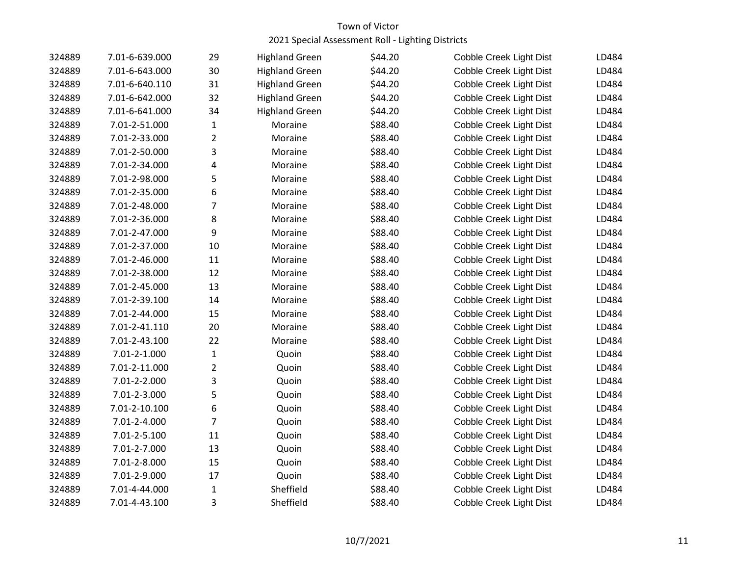| 324889 | 7.01-6-639.000 | 29             | <b>Highland Green</b> | \$44.20 | Cobble Creek Light Dist | LD484 |
|--------|----------------|----------------|-----------------------|---------|-------------------------|-------|
| 324889 | 7.01-6-643.000 | 30             | <b>Highland Green</b> | \$44.20 | Cobble Creek Light Dist | LD484 |
| 324889 | 7.01-6-640.110 | 31             | <b>Highland Green</b> | \$44.20 | Cobble Creek Light Dist | LD484 |
| 324889 | 7.01-6-642.000 | 32             | <b>Highland Green</b> | \$44.20 | Cobble Creek Light Dist | LD484 |
| 324889 | 7.01-6-641.000 | 34             | <b>Highland Green</b> | \$44.20 | Cobble Creek Light Dist | LD484 |
| 324889 | 7.01-2-51.000  | $\mathbf{1}$   | Moraine               | \$88.40 | Cobble Creek Light Dist | LD484 |
| 324889 | 7.01-2-33.000  | $\overline{2}$ | Moraine               | \$88.40 | Cobble Creek Light Dist | LD484 |
| 324889 | 7.01-2-50.000  | 3              | Moraine               | \$88.40 | Cobble Creek Light Dist | LD484 |
| 324889 | 7.01-2-34.000  | 4              | Moraine               | \$88.40 | Cobble Creek Light Dist | LD484 |
| 324889 | 7.01-2-98.000  | 5              | Moraine               | \$88.40 | Cobble Creek Light Dist | LD484 |
| 324889 | 7.01-2-35.000  | 6              | Moraine               | \$88.40 | Cobble Creek Light Dist | LD484 |
| 324889 | 7.01-2-48.000  | 7              | Moraine               | \$88.40 | Cobble Creek Light Dist | LD484 |
| 324889 | 7.01-2-36.000  | 8              | Moraine               | \$88.40 | Cobble Creek Light Dist | LD484 |
| 324889 | 7.01-2-47.000  | 9              | Moraine               | \$88.40 | Cobble Creek Light Dist | LD484 |
| 324889 | 7.01-2-37.000  | 10             | Moraine               | \$88.40 | Cobble Creek Light Dist | LD484 |
| 324889 | 7.01-2-46.000  | 11             | Moraine               | \$88.40 | Cobble Creek Light Dist | LD484 |
| 324889 | 7.01-2-38.000  | 12             | Moraine               | \$88.40 | Cobble Creek Light Dist | LD484 |
| 324889 | 7.01-2-45.000  | 13             | Moraine               | \$88.40 | Cobble Creek Light Dist | LD484 |
| 324889 | 7.01-2-39.100  | 14             | Moraine               | \$88.40 | Cobble Creek Light Dist | LD484 |
| 324889 | 7.01-2-44.000  | 15             | Moraine               | \$88.40 | Cobble Creek Light Dist | LD484 |
| 324889 | 7.01-2-41.110  | 20             | Moraine               | \$88.40 | Cobble Creek Light Dist | LD484 |
| 324889 | 7.01-2-43.100  | 22             | Moraine               | \$88.40 | Cobble Creek Light Dist | LD484 |
| 324889 | 7.01-2-1.000   | $\mathbf{1}$   | Quoin                 | \$88.40 | Cobble Creek Light Dist | LD484 |
| 324889 | 7.01-2-11.000  | $\overline{2}$ | Quoin                 | \$88.40 | Cobble Creek Light Dist | LD484 |
| 324889 | 7.01-2-2.000   | 3              | Quoin                 | \$88.40 | Cobble Creek Light Dist | LD484 |
| 324889 | 7.01-2-3.000   | 5              | Quoin                 | \$88.40 | Cobble Creek Light Dist | LD484 |
| 324889 | 7.01-2-10.100  | 6              | Quoin                 | \$88.40 | Cobble Creek Light Dist | LD484 |
| 324889 | 7.01-2-4.000   | $\overline{7}$ | Quoin                 | \$88.40 | Cobble Creek Light Dist | LD484 |
| 324889 | 7.01-2-5.100   | 11             | Quoin                 | \$88.40 | Cobble Creek Light Dist | LD484 |
| 324889 | 7.01-2-7.000   | 13             | Quoin                 | \$88.40 | Cobble Creek Light Dist | LD484 |
| 324889 | 7.01-2-8.000   | 15             | Quoin                 | \$88.40 | Cobble Creek Light Dist | LD484 |
| 324889 | 7.01-2-9.000   | 17             | Quoin                 | \$88.40 | Cobble Creek Light Dist | LD484 |
| 324889 | 7.01-4-44.000  | $\mathbf{1}$   | Sheffield             | \$88.40 | Cobble Creek Light Dist | LD484 |
| 324889 | 7.01-4-43.100  | 3              | Sheffield             | \$88.40 | Cobble Creek Light Dist | LD484 |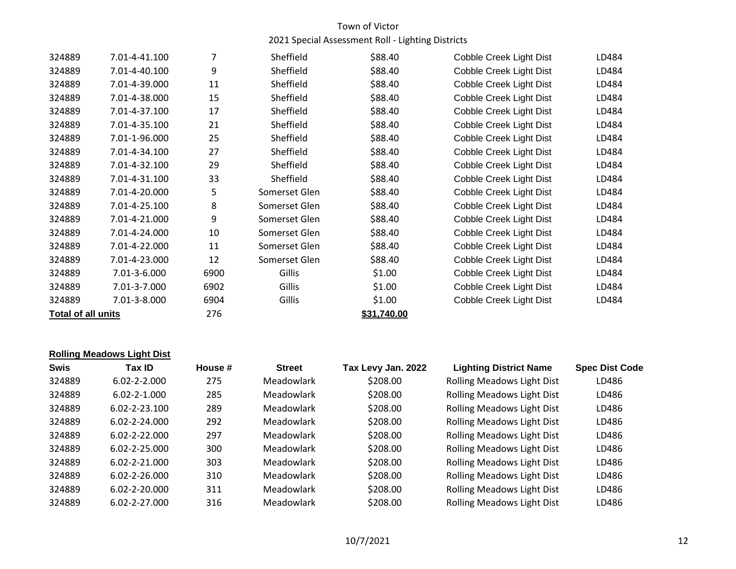| 324889             | 7.01-4-41.100 | 7    | Sheffield     | \$88.40     | Cobble Creek Light Dist        | LD484 |
|--------------------|---------------|------|---------------|-------------|--------------------------------|-------|
| 324889             | 7.01-4-40.100 | 9    | Sheffield     | \$88.40     | Cobble Creek Light Dist        | LD484 |
| 324889             | 7.01-4-39.000 | 11   | Sheffield     | \$88.40     | Cobble Creek Light Dist        | LD484 |
| 324889             | 7.01-4-38.000 | 15   | Sheffield     | \$88.40     | Cobble Creek Light Dist        | LD484 |
| 324889             | 7.01-4-37.100 | 17   | Sheffield     | \$88.40     | Cobble Creek Light Dist        | LD484 |
| 324889             | 7.01-4-35.100 | 21   | Sheffield     | \$88.40     | Cobble Creek Light Dist        | LD484 |
| 324889             | 7.01-1-96.000 | 25   | Sheffield     | \$88.40     | <b>Cobble Creek Light Dist</b> | LD484 |
| 324889             | 7.01-4-34.100 | 27   | Sheffield     | \$88.40     | Cobble Creek Light Dist        | LD484 |
| 324889             | 7.01-4-32.100 | 29   | Sheffield     | \$88.40     | Cobble Creek Light Dist        | LD484 |
| 324889             | 7.01-4-31.100 | 33   | Sheffield     | \$88.40     | Cobble Creek Light Dist        | LD484 |
| 324889             | 7.01-4-20.000 | 5    | Somerset Glen | \$88.40     | Cobble Creek Light Dist        | LD484 |
| 324889             | 7.01-4-25.100 | 8    | Somerset Glen | \$88.40     | Cobble Creek Light Dist        | LD484 |
| 324889             | 7.01-4-21.000 | 9    | Somerset Glen | \$88.40     | Cobble Creek Light Dist        | LD484 |
| 324889             | 7.01-4-24.000 | 10   | Somerset Glen | \$88.40     | Cobble Creek Light Dist        | LD484 |
| 324889             | 7.01-4-22.000 | 11   | Somerset Glen | \$88.40     | Cobble Creek Light Dist        | LD484 |
| 324889             | 7.01-4-23.000 | 12   | Somerset Glen | \$88.40     | Cobble Creek Light Dist        | LD484 |
| 324889             | 7.01-3-6.000  | 6900 | Gillis        | \$1.00      | Cobble Creek Light Dist        | LD484 |
| 324889             | 7.01-3-7.000  | 6902 | Gillis        | \$1.00      | Cobble Creek Light Dist        | LD484 |
| 324889             | 7.01-3-8.000  | 6904 | Gillis        | \$1.00      | Cobble Creek Light Dist        | LD484 |
| Total of all units |               | 276  |               | \$31,740.00 |                                |       |

#### **Rolling Meadows Light Dist**

| Tax ID              | House # | <b>Street</b>     | Tax Levy Jan. 2022 | <b>Lighting District Name</b>     | <b>Spec Dist Code</b> |
|---------------------|---------|-------------------|--------------------|-----------------------------------|-----------------------|
| $6.02 - 2 - 2.000$  | 275     | <b>Meadowlark</b> | \$208.00           | Rolling Meadows Light Dist        | LD486                 |
| $6.02 - 2 - 1.000$  | 285     | Meadowlark        | \$208.00           | <b>Rolling Meadows Light Dist</b> | LD486                 |
| $6.02 - 2 - 23.100$ | 289     | Meadowlark        | \$208.00           | Rolling Meadows Light Dist        | LD486                 |
| $6.02 - 2 - 24.000$ | 292     | Meadowlark        | \$208.00           | <b>Rolling Meadows Light Dist</b> | LD486                 |
| $6.02 - 2 - 22.000$ | 297     | Meadowlark        | \$208.00           | <b>Rolling Meadows Light Dist</b> | LD486                 |
| $6.02 - 2 - 25.000$ | 300     | Meadowlark        | \$208.00           | <b>Rolling Meadows Light Dist</b> | LD486                 |
| $6.02 - 2 - 21.000$ | 303     | Meadowlark        | \$208.00           | <b>Rolling Meadows Light Dist</b> | LD486                 |
| $6.02 - 2 - 26.000$ | 310     | Meadowlark        | \$208.00           | <b>Rolling Meadows Light Dist</b> | LD486                 |
| 6.02-2-20.000       | 311     | <b>Meadowlark</b> | \$208.00           | <b>Rolling Meadows Light Dist</b> | LD486                 |
| 6.02-2-27.000       | 316     | Meadowlark        | \$208.00           | <b>Rolling Meadows Light Dist</b> | LD486                 |
|                     |         |                   |                    |                                   |                       |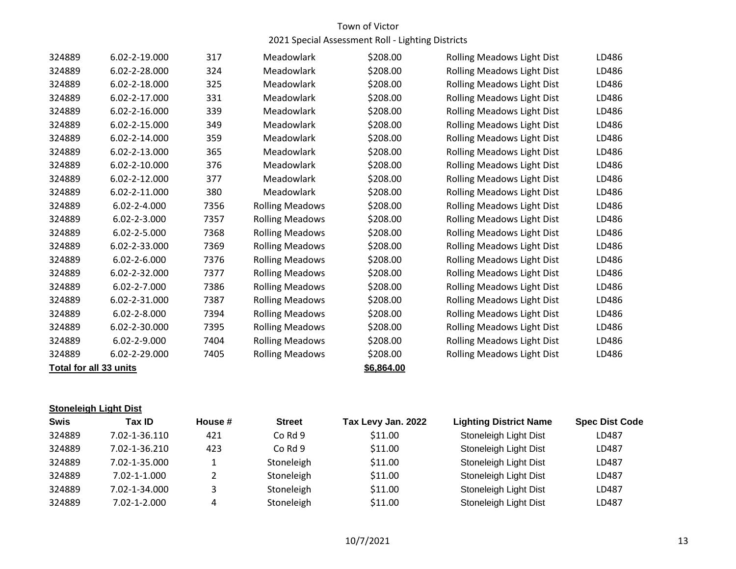| 324889 | 6.02-2-19.000          | 317  | Meadowlark             | \$208.00   | <b>Rolling Meadows Light Dist</b> | LD486 |
|--------|------------------------|------|------------------------|------------|-----------------------------------|-------|
| 324889 | 6.02-2-28.000          | 324  | Meadowlark             | \$208.00   | <b>Rolling Meadows Light Dist</b> | LD486 |
| 324889 | 6.02-2-18.000          | 325  | Meadowlark             | \$208.00   | Rolling Meadows Light Dist        | LD486 |
| 324889 | 6.02-2-17.000          | 331  | Meadowlark             | \$208.00   | <b>Rolling Meadows Light Dist</b> | LD486 |
| 324889 | 6.02-2-16.000          | 339  | Meadowlark             | \$208.00   | <b>Rolling Meadows Light Dist</b> | LD486 |
| 324889 | 6.02-2-15.000          | 349  | Meadowlark             | \$208.00   | <b>Rolling Meadows Light Dist</b> | LD486 |
| 324889 | 6.02-2-14.000          | 359  | Meadowlark             | \$208.00   | Rolling Meadows Light Dist        | LD486 |
| 324889 | 6.02-2-13.000          | 365  | Meadowlark             | \$208.00   | Rolling Meadows Light Dist        | LD486 |
| 324889 | 6.02-2-10.000          | 376  | Meadowlark             | \$208.00   | <b>Rolling Meadows Light Dist</b> | LD486 |
| 324889 | 6.02-2-12.000          | 377  | Meadowlark             | \$208.00   | Rolling Meadows Light Dist        | LD486 |
| 324889 | 6.02-2-11.000          | 380  | Meadowlark             | \$208.00   | Rolling Meadows Light Dist        | LD486 |
| 324889 | 6.02-2-4.000           | 7356 | <b>Rolling Meadows</b> | \$208.00   | Rolling Meadows Light Dist        | LD486 |
| 324889 | 6.02-2-3.000           | 7357 | <b>Rolling Meadows</b> | \$208.00   | <b>Rolling Meadows Light Dist</b> | LD486 |
| 324889 | 6.02-2-5.000           | 7368 | <b>Rolling Meadows</b> | \$208.00   | <b>Rolling Meadows Light Dist</b> | LD486 |
| 324889 | 6.02-2-33.000          | 7369 | <b>Rolling Meadows</b> | \$208.00   | Rolling Meadows Light Dist        | LD486 |
| 324889 | $6.02 - 2 - 6.000$     | 7376 | <b>Rolling Meadows</b> | \$208.00   | Rolling Meadows Light Dist        | LD486 |
| 324889 | 6.02-2-32.000          | 7377 | <b>Rolling Meadows</b> | \$208.00   | Rolling Meadows Light Dist        | LD486 |
| 324889 | 6.02-2-7.000           | 7386 | <b>Rolling Meadows</b> | \$208.00   | <b>Rolling Meadows Light Dist</b> | LD486 |
| 324889 | 6.02-2-31.000          | 7387 | <b>Rolling Meadows</b> | \$208.00   | Rolling Meadows Light Dist        | LD486 |
| 324889 | $6.02 - 2 - 8.000$     | 7394 | <b>Rolling Meadows</b> | \$208.00   | Rolling Meadows Light Dist        | LD486 |
| 324889 | 6.02-2-30.000          | 7395 | <b>Rolling Meadows</b> | \$208.00   | <b>Rolling Meadows Light Dist</b> | LD486 |
| 324889 | 6.02-2-9.000           | 7404 | <b>Rolling Meadows</b> | \$208.00   | Rolling Meadows Light Dist        | LD486 |
| 324889 | 6.02-2-29.000          | 7405 | <b>Rolling Meadows</b> | \$208.00   | Rolling Meadows Light Dist        | LD486 |
|        | Total for all 33 units |      |                        | \$6,864.00 |                                   |       |

#### **Stoneleigh Light Dist**

| Swis   | Tax ID.            | House # | <b>Street</b> | Tax Levy Jan. 2022 | <b>Lighting District Name</b> | <b>Spec Dist Code</b> |
|--------|--------------------|---------|---------------|--------------------|-------------------------------|-----------------------|
| 324889 | 7.02-1-36.110      | 421     | Co Rd 9       | \$11.00            | Stoneleigh Light Dist         | LD487                 |
| 324889 | 7.02-1-36.210      | 423     | Co Rd 9       | \$11.00            | Stoneleigh Light Dist         | LD487                 |
| 324889 | 7.02-1-35.000      |         | Stoneleigh    | \$11.00            | Stoneleigh Light Dist         | LD487                 |
| 324889 | 7.02-1-1.000       |         | Stoneleigh    | \$11.00            | Stoneleigh Light Dist         | LD487                 |
| 324889 | 7.02-1-34.000      |         | Stoneleigh    | \$11.00            | Stoneleigh Light Dist         | LD487                 |
| 324889 | $7.02 - 1 - 2.000$ | 4       | Stoneleigh    | \$11.00            | Stoneleigh Light Dist         | LD487                 |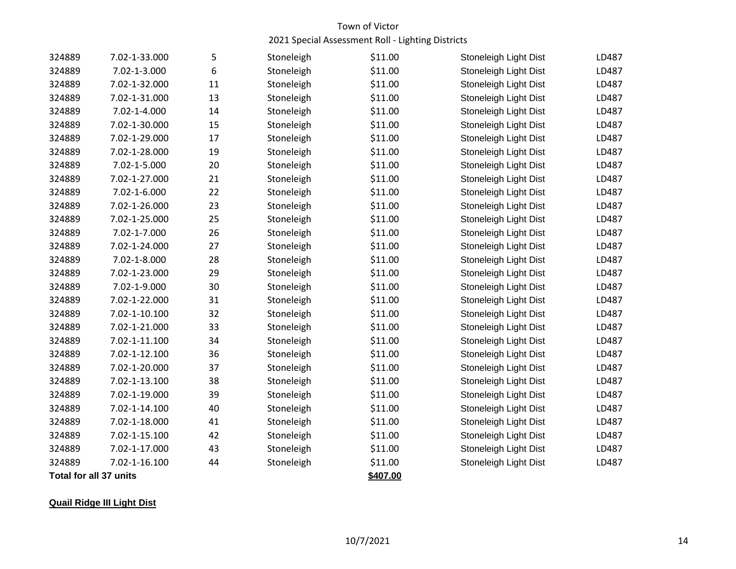| 324889                        | 7.02-1-33.000 | 5  | Stoneleigh | \$11.00  | Stoneleigh Light Dist | LD487 |
|-------------------------------|---------------|----|------------|----------|-----------------------|-------|
| 324889                        | 7.02-1-3.000  | 6  | Stoneleigh | \$11.00  | Stoneleigh Light Dist | LD487 |
| 324889                        | 7.02-1-32.000 | 11 | Stoneleigh | \$11.00  | Stoneleigh Light Dist | LD487 |
| 324889                        | 7.02-1-31.000 | 13 | Stoneleigh | \$11.00  | Stoneleigh Light Dist | LD487 |
| 324889                        | 7.02-1-4.000  | 14 | Stoneleigh | \$11.00  | Stoneleigh Light Dist | LD487 |
| 324889                        | 7.02-1-30.000 | 15 | Stoneleigh | \$11.00  | Stoneleigh Light Dist | LD487 |
| 324889                        | 7.02-1-29.000 | 17 | Stoneleigh | \$11.00  | Stoneleigh Light Dist | LD487 |
| 324889                        | 7.02-1-28.000 | 19 | Stoneleigh | \$11.00  | Stoneleigh Light Dist | LD487 |
| 324889                        | 7.02-1-5.000  | 20 | Stoneleigh | \$11.00  | Stoneleigh Light Dist | LD487 |
| 324889                        | 7.02-1-27.000 | 21 | Stoneleigh | \$11.00  | Stoneleigh Light Dist | LD487 |
| 324889                        | 7.02-1-6.000  | 22 | Stoneleigh | \$11.00  | Stoneleigh Light Dist | LD487 |
| 324889                        | 7.02-1-26.000 | 23 | Stoneleigh | \$11.00  | Stoneleigh Light Dist | LD487 |
| 324889                        | 7.02-1-25.000 | 25 | Stoneleigh | \$11.00  | Stoneleigh Light Dist | LD487 |
| 324889                        | 7.02-1-7.000  | 26 | Stoneleigh | \$11.00  | Stoneleigh Light Dist | LD487 |
| 324889                        | 7.02-1-24.000 | 27 | Stoneleigh | \$11.00  | Stoneleigh Light Dist | LD487 |
| 324889                        | 7.02-1-8.000  | 28 | Stoneleigh | \$11.00  | Stoneleigh Light Dist | LD487 |
| 324889                        | 7.02-1-23.000 | 29 | Stoneleigh | \$11.00  | Stoneleigh Light Dist | LD487 |
| 324889                        | 7.02-1-9.000  | 30 | Stoneleigh | \$11.00  | Stoneleigh Light Dist | LD487 |
| 324889                        | 7.02-1-22.000 | 31 | Stoneleigh | \$11.00  | Stoneleigh Light Dist | LD487 |
| 324889                        | 7.02-1-10.100 | 32 | Stoneleigh | \$11.00  | Stoneleigh Light Dist | LD487 |
| 324889                        | 7.02-1-21.000 | 33 | Stoneleigh | \$11.00  | Stoneleigh Light Dist | LD487 |
| 324889                        | 7.02-1-11.100 | 34 | Stoneleigh | \$11.00  | Stoneleigh Light Dist | LD487 |
| 324889                        | 7.02-1-12.100 | 36 | Stoneleigh | \$11.00  | Stoneleigh Light Dist | LD487 |
| 324889                        | 7.02-1-20.000 | 37 | Stoneleigh | \$11.00  | Stoneleigh Light Dist | LD487 |
| 324889                        | 7.02-1-13.100 | 38 | Stoneleigh | \$11.00  | Stoneleigh Light Dist | LD487 |
| 324889                        | 7.02-1-19.000 | 39 | Stoneleigh | \$11.00  | Stoneleigh Light Dist | LD487 |
| 324889                        | 7.02-1-14.100 | 40 | Stoneleigh | \$11.00  | Stoneleigh Light Dist | LD487 |
| 324889                        | 7.02-1-18.000 | 41 | Stoneleigh | \$11.00  | Stoneleigh Light Dist | LD487 |
| 324889                        | 7.02-1-15.100 | 42 | Stoneleigh | \$11.00  | Stoneleigh Light Dist | LD487 |
| 324889                        | 7.02-1-17.000 | 43 | Stoneleigh | \$11.00  | Stoneleigh Light Dist | LD487 |
| 324889                        | 7.02-1-16.100 | 44 | Stoneleigh | \$11.00  | Stoneleigh Light Dist | LD487 |
| <b>Total for all 37 units</b> |               |    |            | \$407.00 |                       |       |

# **Quail Ridge III Light Dist**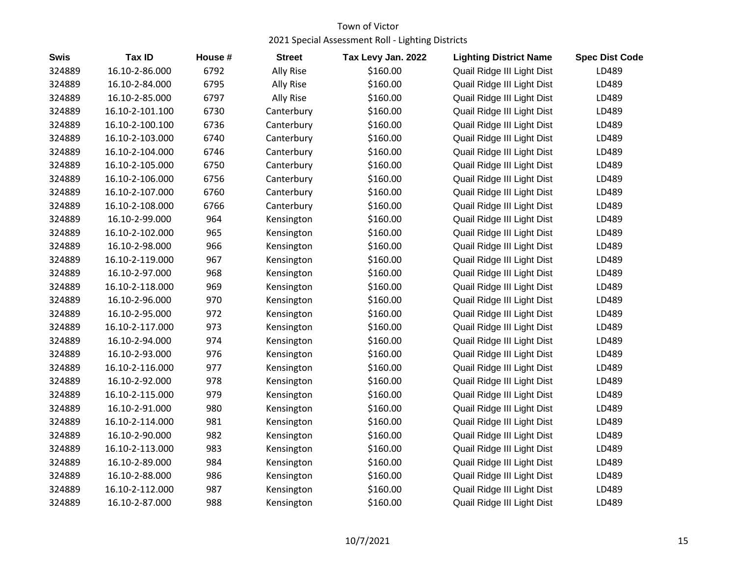| <b>Swis</b> | <b>Tax ID</b>   | House # | <b>Street</b>    | Tax Levy Jan. 2022 | <b>Lighting District Name</b> | <b>Spec Dist Code</b> |
|-------------|-----------------|---------|------------------|--------------------|-------------------------------|-----------------------|
| 324889      | 16.10-2-86.000  | 6792    | <b>Ally Rise</b> | \$160.00           | Quail Ridge III Light Dist    | LD489                 |
| 324889      | 16.10-2-84.000  | 6795    | Ally Rise        | \$160.00           | Quail Ridge III Light Dist    | LD489                 |
| 324889      | 16.10-2-85.000  | 6797    | Ally Rise        | \$160.00           | Quail Ridge III Light Dist    | LD489                 |
| 324889      | 16.10-2-101.100 | 6730    | Canterbury       | \$160.00           | Quail Ridge III Light Dist    | LD489                 |
| 324889      | 16.10-2-100.100 | 6736    | Canterbury       | \$160.00           | Quail Ridge III Light Dist    | LD489                 |
| 324889      | 16.10-2-103.000 | 6740    | Canterbury       | \$160.00           | Quail Ridge III Light Dist    | LD489                 |
| 324889      | 16.10-2-104.000 | 6746    | Canterbury       | \$160.00           | Quail Ridge III Light Dist    | LD489                 |
| 324889      | 16.10-2-105.000 | 6750    | Canterbury       | \$160.00           | Quail Ridge III Light Dist    | LD489                 |
| 324889      | 16.10-2-106.000 | 6756    | Canterbury       | \$160.00           | Quail Ridge III Light Dist    | LD489                 |
| 324889      | 16.10-2-107.000 | 6760    | Canterbury       | \$160.00           | Quail Ridge III Light Dist    | LD489                 |
| 324889      | 16.10-2-108.000 | 6766    | Canterbury       | \$160.00           | Quail Ridge III Light Dist    | LD489                 |
| 324889      | 16.10-2-99.000  | 964     | Kensington       | \$160.00           | Quail Ridge III Light Dist    | LD489                 |
| 324889      | 16.10-2-102.000 | 965     | Kensington       | \$160.00           | Quail Ridge III Light Dist    | LD489                 |
| 324889      | 16.10-2-98.000  | 966     | Kensington       | \$160.00           | Quail Ridge III Light Dist    | LD489                 |
| 324889      | 16.10-2-119.000 | 967     | Kensington       | \$160.00           | Quail Ridge III Light Dist    | LD489                 |
| 324889      | 16.10-2-97.000  | 968     | Kensington       | \$160.00           | Quail Ridge III Light Dist    | LD489                 |
| 324889      | 16.10-2-118.000 | 969     | Kensington       | \$160.00           | Quail Ridge III Light Dist    | LD489                 |
| 324889      | 16.10-2-96.000  | 970     | Kensington       | \$160.00           | Quail Ridge III Light Dist    | LD489                 |
| 324889      | 16.10-2-95.000  | 972     | Kensington       | \$160.00           | Quail Ridge III Light Dist    | LD489                 |
| 324889      | 16.10-2-117.000 | 973     | Kensington       | \$160.00           | Quail Ridge III Light Dist    | LD489                 |
| 324889      | 16.10-2-94.000  | 974     | Kensington       | \$160.00           | Quail Ridge III Light Dist    | LD489                 |
| 324889      | 16.10-2-93.000  | 976     | Kensington       | \$160.00           | Quail Ridge III Light Dist    | LD489                 |
| 324889      | 16.10-2-116.000 | 977     | Kensington       | \$160.00           | Quail Ridge III Light Dist    | LD489                 |
| 324889      | 16.10-2-92.000  | 978     | Kensington       | \$160.00           | Quail Ridge III Light Dist    | LD489                 |
| 324889      | 16.10-2-115.000 | 979     | Kensington       | \$160.00           | Quail Ridge III Light Dist    | LD489                 |
| 324889      | 16.10-2-91.000  | 980     | Kensington       | \$160.00           | Quail Ridge III Light Dist    | LD489                 |
| 324889      | 16.10-2-114.000 | 981     | Kensington       | \$160.00           | Quail Ridge III Light Dist    | LD489                 |
| 324889      | 16.10-2-90.000  | 982     | Kensington       | \$160.00           | Quail Ridge III Light Dist    | LD489                 |
| 324889      | 16.10-2-113.000 | 983     | Kensington       | \$160.00           | Quail Ridge III Light Dist    | LD489                 |
| 324889      | 16.10-2-89.000  | 984     | Kensington       | \$160.00           | Quail Ridge III Light Dist    | LD489                 |
| 324889      | 16.10-2-88.000  | 986     | Kensington       | \$160.00           | Quail Ridge III Light Dist    | LD489                 |
| 324889      | 16.10-2-112.000 | 987     | Kensington       | \$160.00           | Quail Ridge III Light Dist    | LD489                 |
| 324889      | 16.10-2-87.000  | 988     | Kensington       | \$160.00           | Quail Ridge III Light Dist    | LD489                 |